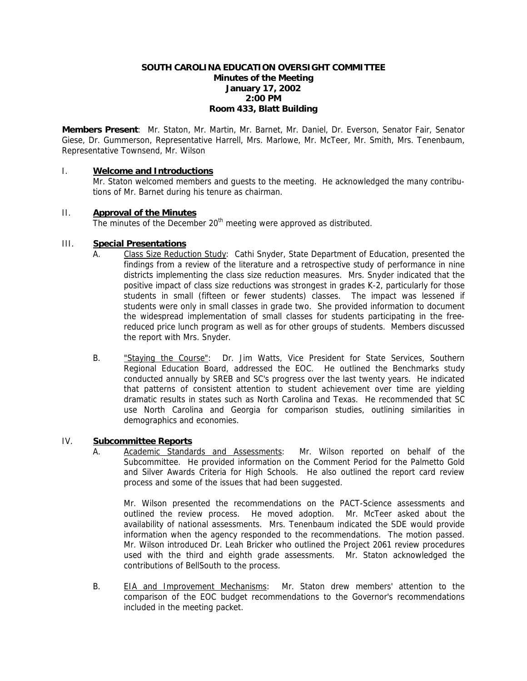### **SOUTH CAROLINA EDUCATION OVERSIGHT COMMITTEE Minutes of the Meeting January 17, 2002 2:00 PM Room 433, Blatt Building**

**Members Present**: Mr. Staton, Mr. Martin, Mr. Barnet, Mr. Daniel, Dr. Everson, Senator Fair, Senator Giese, Dr. Gummerson, Representative Harrell, Mrs. Marlowe, Mr. McTeer, Mr. Smith, Mrs. Tenenbaum, Representative Townsend, Mr. Wilson

### I. **Welcome and Introductions**

Mr. Staton welcomed members and guests to the meeting. He acknowledged the many contributions of Mr. Barnet during his tenure as chairman.

#### II. **Approval of the Minutes**

The minutes of the December 20<sup>th</sup> meeting were approved as distributed.

#### III. **Special Presentations**

- A. Class Size Reduction Study: Cathi Snyder, State Department of Education, presented the findings from a review of the literature and a retrospective study of performance in nine districts implementing the class size reduction measures. Mrs. Snyder indicated that the positive impact of class size reductions was strongest in grades K-2, particularly for those students in small (fifteen or fewer students) classes. The impact was lessened if students were only in small classes in grade two. She provided information to document the widespread implementation of small classes for students participating in the freereduced price lunch program as well as for other groups of students. Members discussed the report with Mrs. Snyder.
- B. "Staying the Course": Dr. Jim Watts, Vice President for State Services, Southern Regional Education Board, addressed the EOC. He outlined the Benchmarks study conducted annually by SREB and SC's progress over the last twenty years. He indicated that patterns of consistent attention to student achievement over time are yielding dramatic results in states such as North Carolina and Texas. He recommended that SC use North Carolina and Georgia for comparison studies, outlining similarities in demographics and economies.

### IV. **Subcommittee Reports**

A. Academic Standards and Assessments: Mr. Wilson reported on behalf of the Subcommittee. He provided information on the Comment Period for the Palmetto Gold and Silver Awards Criteria for High Schools. He also outlined the report card review process and some of the issues that had been suggested.

Mr. Wilson presented the recommendations on the PACT-Science assessments and outlined the review process. He moved adoption. Mr. McTeer asked about the availability of national assessments. Mrs. Tenenbaum indicated the SDE would provide information when the agency responded to the recommendations. The motion passed. Mr. Wilson introduced Dr. Leah Bricker who outlined the Project 2061 review procedures used with the third and eighth grade assessments. Mr. Staton acknowledged the contributions of BellSouth to the process.

B. EIA and Improvement Mechanisms: Mr. Staton drew members' attention to the comparison of the EOC budget recommendations to the Governor's recommendations included in the meeting packet.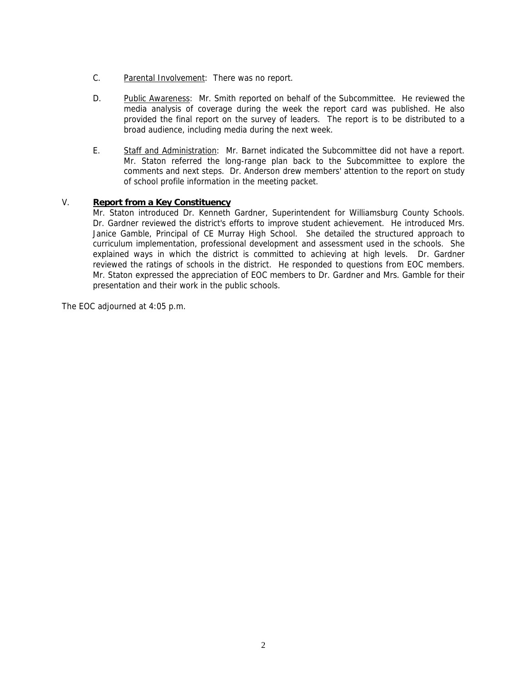- C. Parental Involvement: There was no report.
- D. Public Awareness: Mr. Smith reported on behalf of the Subcommittee. He reviewed the media analysis of coverage during the week the report card was published. He also provided the final report on the survey of leaders. The report is to be distributed to a broad audience, including media during the next week.
- E. Staff and Administration: Mr. Barnet indicated the Subcommittee did not have a report. Mr. Staton referred the long-range plan back to the Subcommittee to explore the comments and next steps. Dr. Anderson drew members' attention to the report on study of school profile information in the meeting packet.

### V. **Report from a Key Constituency**

Mr. Staton introduced Dr. Kenneth Gardner, Superintendent for Williamsburg County Schools. Dr. Gardner reviewed the district's efforts to improve student achievement. He introduced Mrs. Janice Gamble, Principal of CE Murray High School. She detailed the structured approach to curriculum implementation, professional development and assessment used in the schools. She explained ways in which the district is committed to achieving at high levels. Dr. Gardner reviewed the ratings of schools in the district. He responded to questions from EOC members. Mr. Staton expressed the appreciation of EOC members to Dr. Gardner and Mrs. Gamble for their presentation and their work in the public schools.

The EOC adjourned at 4:05 p.m.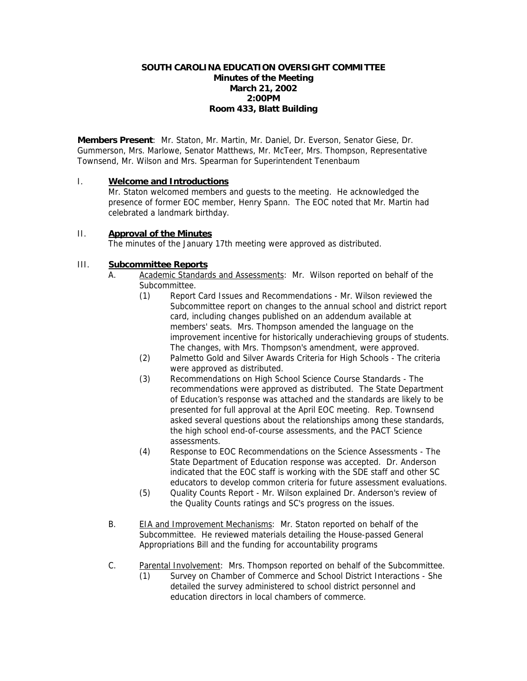### **SOUTH CAROLINA EDUCATION OVERSIGHT COMMITTEE Minutes of the Meeting March 21, 2002 2:00PM Room 433, Blatt Building**

**Members Present**: Mr. Staton, Mr. Martin, Mr. Daniel, Dr. Everson, Senator Giese, Dr. Gummerson, Mrs. Marlowe, Senator Matthews, Mr. McTeer, Mrs. Thompson, Representative Townsend, Mr. Wilson and Mrs. Spearman for Superintendent Tenenbaum

### I. **Welcome and Introductions**

Mr. Staton welcomed members and guests to the meeting. He acknowledged the presence of former EOC member, Henry Spann. The EOC noted that Mr. Martin had celebrated a landmark birthday.

# II. **Approval of the Minutes**

The minutes of the January 17th meeting were approved as distributed.

# III. **Subcommittee Reports**

- A. Academic Standards and Assessments: Mr. Wilson reported on behalf of the Subcommittee.
	- (1) Report Card Issues and Recommendations Mr. Wilson reviewed the Subcommittee report on changes to the annual school and district report card, including changes published on an addendum available at members' seats. Mrs. Thompson amended the language on the improvement incentive for historically underachieving groups of students. The changes, with Mrs. Thompson's amendment, were approved.
	- (2) Palmetto Gold and Silver Awards Criteria for High Schools The criteria were approved as distributed.
	- (3) Recommendations on High School Science Course Standards The recommendations were approved as distributed. The State Department of Education's response was attached and the standards are likely to be presented for full approval at the April EOC meeting. Rep. Townsend asked several questions about the relationships among these standards, the high school end-of-course assessments, and the PACT Science assessments.
	- (4) Response to EOC Recommendations on the Science Assessments The State Department of Education response was accepted. Dr. Anderson indicated that the EOC staff is working with the SDE staff and other SC educators to develop common criteria for future assessment evaluations.
	- (5) Quality Counts Report Mr. Wilson explained Dr. Anderson's review of the Quality Counts ratings and SC's progress on the issues.
- B. EIA and Improvement Mechanisms: Mr. Staton reported on behalf of the Subcommittee. He reviewed materials detailing the House-passed General Appropriations Bill and the funding for accountability programs
- C. Parental Involvement: Mrs. Thompson reported on behalf of the Subcommittee.
	- (1) Survey on Chamber of Commerce and School District Interactions She detailed the survey administered to school district personnel and education directors in local chambers of commerce.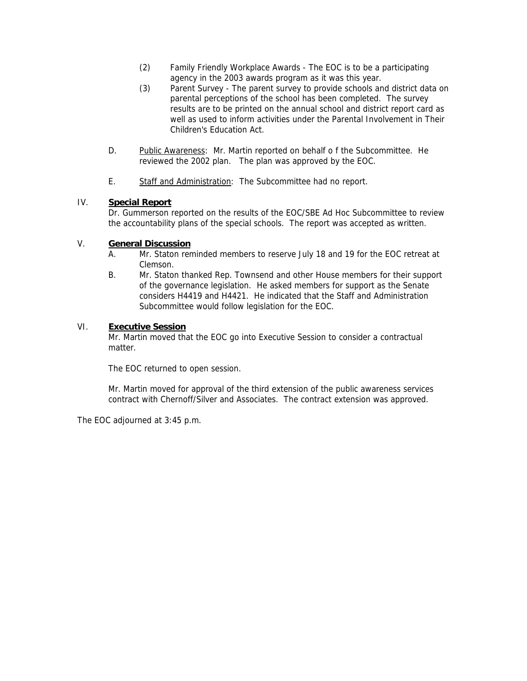- (2) Family Friendly Workplace Awards The EOC is to be a participating agency in the 2003 awards program as it was this year.
- (3) Parent Survey The parent survey to provide schools and district data on parental perceptions of the school has been completed. The survey results are to be printed on the annual school and district report card as well as used to inform activities under the Parental Involvement in Their Children's Education Act.
- D. Public Awareness: Mr. Martin reported on behalf o f the Subcommittee. He reviewed the 2002 plan. The plan was approved by the EOC.
- E. Staff and Administration: The Subcommittee had no report.

### IV. **Special Report**

Dr. Gummerson reported on the results of the EOC/SBE Ad Hoc Subcommittee to review the accountability plans of the special schools. The report was accepted as written.

#### V. **General Discussion**

- A. Mr. Staton reminded members to reserve July 18 and 19 for the EOC retreat at Clemson.
- B. Mr. Staton thanked Rep. Townsend and other House members for their support of the governance legislation. He asked members for support as the Senate considers H4419 and H4421. He indicated that the Staff and Administration Subcommittee would follow legislation for the EOC.

#### VI. **Executive Session**

Mr. Martin moved that the EOC go into Executive Session to consider a contractual matter.

The EOC returned to open session.

Mr. Martin moved for approval of the third extension of the public awareness services contract with Chernoff/Silver and Associates. The contract extension was approved.

The EOC adjourned at 3:45 p.m.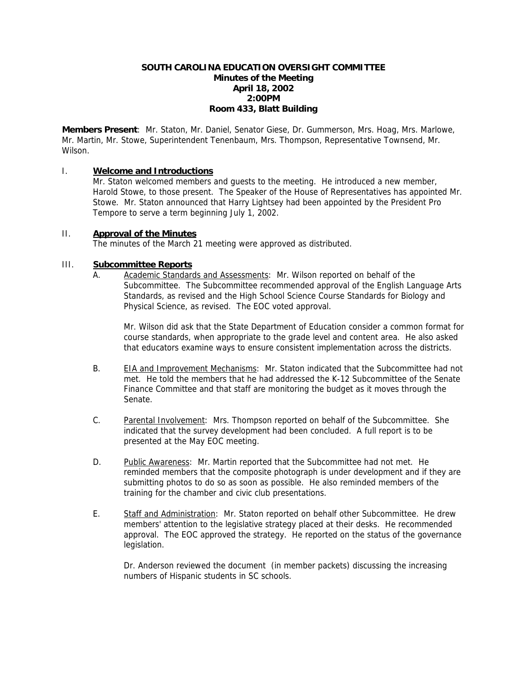### **SOUTH CAROLINA EDUCATION OVERSIGHT COMMITTEE Minutes of the Meeting April 18, 2002 2:00PM Room 433, Blatt Building**

**Members Present**: Mr. Staton, Mr. Daniel, Senator Giese, Dr. Gummerson, Mrs. Hoag, Mrs. Marlowe, Mr. Martin, Mr. Stowe, Superintendent Tenenbaum, Mrs. Thompson, Representative Townsend, Mr. Wilson.

### I. **Welcome and Introductions**

Mr. Staton welcomed members and guests to the meeting. He introduced a new member, Harold Stowe, to those present. The Speaker of the House of Representatives has appointed Mr. Stowe. Mr. Staton announced that Harry Lightsey had been appointed by the President Pro Tempore to serve a term beginning July 1, 2002.

#### II. **Approval of the Minutes**

The minutes of the March 21 meeting were approved as distributed.

### III. **Subcommittee Reports**

 A. Academic Standards and Assessments: Mr. Wilson reported on behalf of the Subcommittee. The Subcommittee recommended approval of the English Language Arts Standards, as revised and the High School Science Course Standards for Biology and Physical Science, as revised. The EOC voted approval.

Mr. Wilson did ask that the State Department of Education consider a common format for course standards, when appropriate to the grade level and content area. He also asked that educators examine ways to ensure consistent implementation across the districts.

- B. EIA and Improvement Mechanisms: Mr. Staton indicated that the Subcommittee had not met. He told the members that he had addressed the K-12 Subcommittee of the Senate Finance Committee and that staff are monitoring the budget as it moves through the Senate.
- C. Parental Involvement: Mrs. Thompson reported on behalf of the Subcommittee. She indicated that the survey development had been concluded. A full report is to be presented at the May EOC meeting.
- D. Public Awareness: Mr. Martin reported that the Subcommittee had not met. He reminded members that the composite photograph is under development and if they are submitting photos to do so as soon as possible. He also reminded members of the training for the chamber and civic club presentations.
- E. Staff and Administration: Mr. Staton reported on behalf other Subcommittee. He drew members' attention to the legislative strategy placed at their desks. He recommended approval. The EOC approved the strategy. He reported on the status of the governance legislation.

Dr. Anderson reviewed the document (in member packets) discussing the increasing numbers of Hispanic students in SC schools.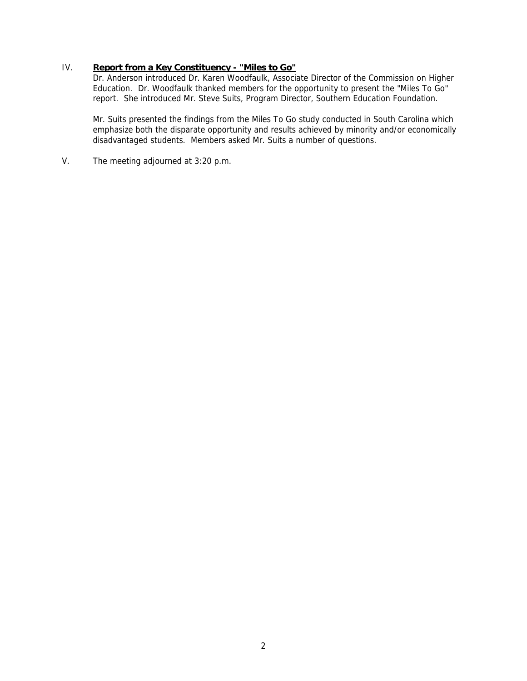# IV. **Report from a Key Constituency - "Miles to Go"**

Dr. Anderson introduced Dr. Karen Woodfaulk, Associate Director of the Commission on Higher Education. Dr. Woodfaulk thanked members for the opportunity to present the "Miles To Go" report. She introduced Mr. Steve Suits, Program Director, Southern Education Foundation.

Mr. Suits presented the findings from the Miles To Go study conducted in South Carolina which emphasize both the disparate opportunity and results achieved by minority and/or economically disadvantaged students. Members asked Mr. Suits a number of questions.

V. The meeting adjourned at 3:20 p.m.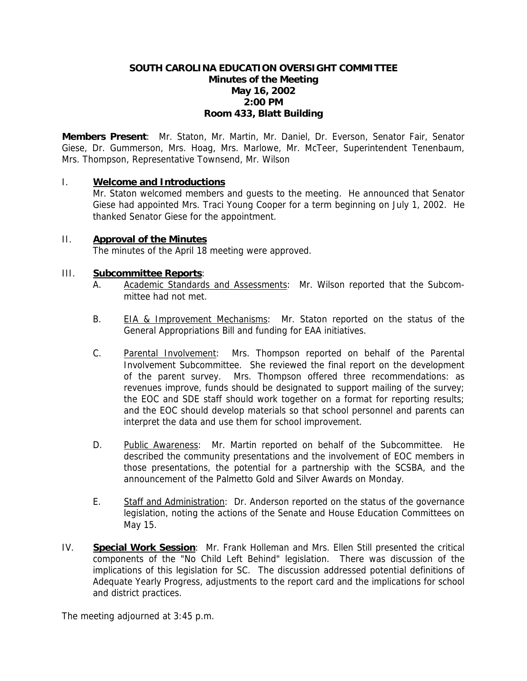# **SOUTH CAROLINA EDUCATION OVERSIGHT COMMITTEE Minutes of the Meeting May 16, 2002 2:00 PM Room 433, Blatt Building**

**Members Present**: Mr. Staton, Mr. Martin, Mr. Daniel, Dr. Everson, Senator Fair, Senator Giese, Dr. Gummerson, Mrs. Hoag, Mrs. Marlowe, Mr. McTeer, Superintendent Tenenbaum, Mrs. Thompson, Representative Townsend, Mr. Wilson

# I. **Welcome and Introductions**

Mr. Staton welcomed members and guests to the meeting. He announced that Senator Giese had appointed Mrs. Traci Young Cooper for a term beginning on July 1, 2002. He thanked Senator Giese for the appointment.

# II. **Approval of the Minutes**

The minutes of the April 18 meeting were approved.

# III. **Subcommittee Reports**:

- A. Academic Standards and Assessments: Mr. Wilson reported that the Subcommittee had not met.
- B. EIA & Improvement Mechanisms: Mr. Staton reported on the status of the General Appropriations Bill and funding for EAA initiatives.
- C. Parental Involvement: Mrs. Thompson reported on behalf of the Parental Involvement Subcommittee. She reviewed the final report on the development of the parent survey. Mrs. Thompson offered three recommendations: as revenues improve, funds should be designated to support mailing of the survey; the EOC and SDE staff should work together on a format for reporting results; and the EOC should develop materials so that school personnel and parents can interpret the data and use them for school improvement.
- D. Public Awareness: Mr. Martin reported on behalf of the Subcommittee. He described the community presentations and the involvement of EOC members in those presentations, the potential for a partnership with the SCSBA, and the announcement of the Palmetto Gold and Silver Awards on Monday.
- E. Staff and Administration: Dr. Anderson reported on the status of the governance legislation, noting the actions of the Senate and House Education Committees on May 15.
- IV. **Special Work Session**: Mr. Frank Holleman and Mrs. Ellen Still presented the critical components of the "No Child Left Behind" legislation. There was discussion of the implications of this legislation for SC. The discussion addressed potential definitions of Adequate Yearly Progress, adjustments to the report card and the implications for school and district practices.

The meeting adjourned at 3:45 p.m.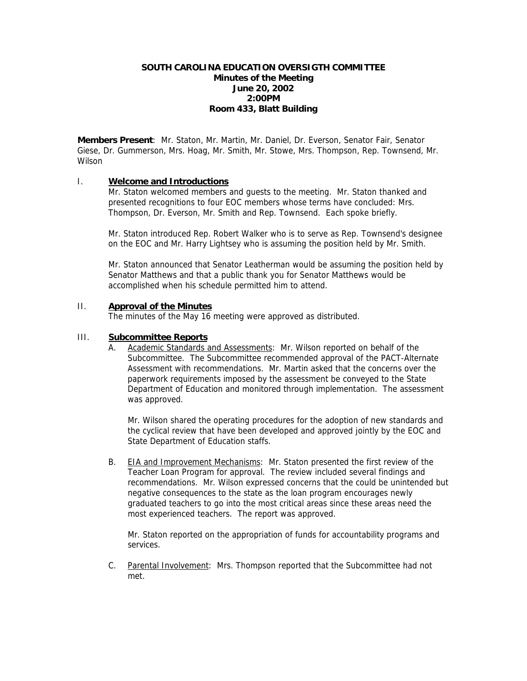### **SOUTH CAROLINA EDUCATION OVERSIGTH COMMITTEE Minutes of the Meeting June 20, 2002 2:00PM Room 433, Blatt Building**

**Members Present**: Mr. Staton, Mr. Martin, Mr. Daniel, Dr. Everson, Senator Fair, Senator Giese, Dr. Gummerson, Mrs. Hoag, Mr. Smith, Mr. Stowe, Mrs. Thompson, Rep. Townsend, Mr. Wilson

#### I. **Welcome and Introductions**

Mr. Staton welcomed members and guests to the meeting. Mr. Staton thanked and presented recognitions to four EOC members whose terms have concluded: Mrs. Thompson, Dr. Everson, Mr. Smith and Rep. Townsend. Each spoke briefly.

Mr. Staton introduced Rep. Robert Walker who is to serve as Rep. Townsend's designee on the EOC and Mr. Harry Lightsey who is assuming the position held by Mr. Smith.

Mr. Staton announced that Senator Leatherman would be assuming the position held by Senator Matthews and that a public thank you for Senator Matthews would be accomplished when his schedule permitted him to attend.

#### II. **Approval of the Minutes**

The minutes of the May 16 meeting were approved as distributed.

#### III. **Subcommittee Reports**

A. Academic Standards and Assessments: Mr. Wilson reported on behalf of the Subcommittee. The Subcommittee recommended approval of the PACT-Alternate Assessment with recommendations. Mr. Martin asked that the concerns over the paperwork requirements imposed by the assessment be conveyed to the State Department of Education and monitored through implementation. The assessment was approved.

 Mr. Wilson shared the operating procedures for the adoption of new standards and the cyclical review that have been developed and approved jointly by the EOC and State Department of Education staffs.

B. EIA and Improvement Mechanisms: Mr. Staton presented the first review of the Teacher Loan Program for approval. The review included several findings and recommendations. Mr. Wilson expressed concerns that the could be unintended but negative consequences to the state as the loan program encourages newly graduated teachers to go into the most critical areas since these areas need the most experienced teachers. The report was approved.

Mr. Staton reported on the appropriation of funds for accountability programs and services.

C. Parental Involvement: Mrs. Thompson reported that the Subcommittee had not met.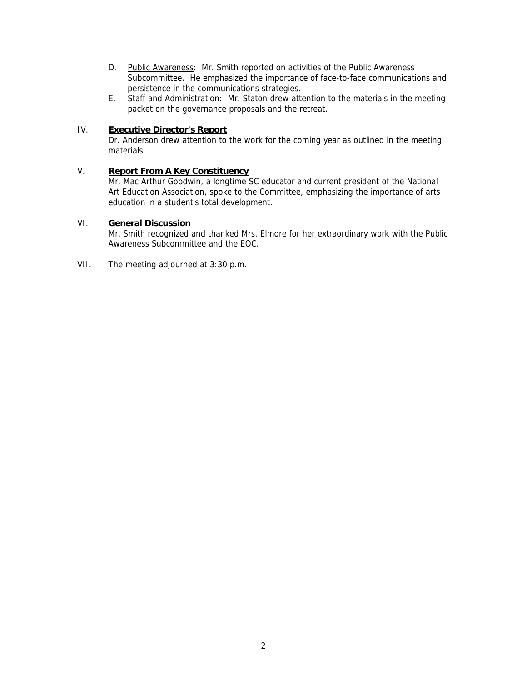- D. Public Awareness: Mr. Smith reported on activities of the Public Awareness Subcommittee. He emphasized the importance of face-to-face communications and persistence in the communications strategies.
- E. Staff and Administration: Mr. Staton drew attention to the materials in the meeting packet on the governance proposals and the retreat.

# IV. **Executive Director's Report**

Dr. Anderson drew attention to the work for the coming year as outlined in the meeting materials.

### V. **Report From A Key Constituency**

Mr. Mac Arthur Goodwin, a longtime SC educator and current president of the National Art Education Association, spoke to the Committee, emphasizing the importance of arts education in a student's total development.

# VI. **General Discussion**

Mr. Smith recognized and thanked Mrs. Elmore for her extraordinary work with the Public Awareness Subcommittee and the EOC.

VII. The meeting adjourned at 3:30 p.m.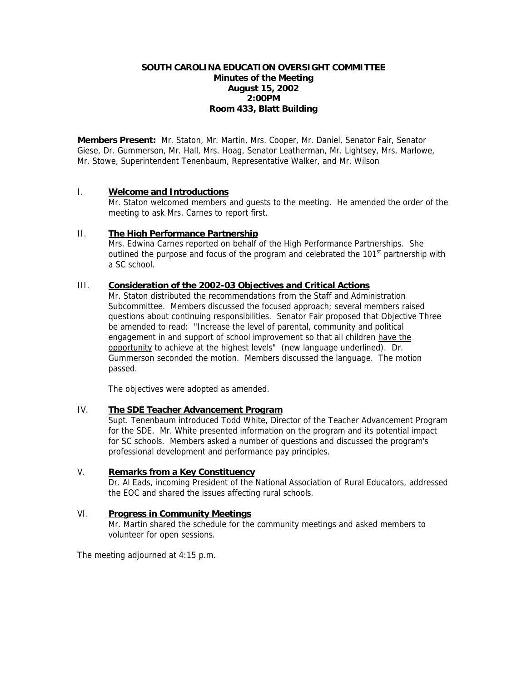#### **SOUTH CAROLINA EDUCATION OVERSIGHT COMMITTEE Minutes of the Meeting August 15, 2002 2:00PM Room 433, Blatt Building**

**Members Present:** Mr. Staton, Mr. Martin, Mrs. Cooper, Mr. Daniel, Senator Fair, Senator Giese, Dr. Gummerson, Mr. Hall, Mrs. Hoag, Senator Leatherman, Mr. Lightsey, Mrs. Marlowe, Mr. Stowe, Superintendent Tenenbaum, Representative Walker, and Mr. Wilson

### I. **Welcome and Introductions**

Mr. Staton welcomed members and guests to the meeting. He amended the order of the meeting to ask Mrs. Carnes to report first.

#### II. **The High Performance Partnership**

Mrs. Edwina Carnes reported on behalf of the High Performance Partnerships. She outlined the purpose and focus of the program and celebrated the  $101<sup>st</sup>$  partnership with a SC school.

### III. **Consideration of the 2002-03 Objectives and Critical Actions**

Mr. Staton distributed the recommendations from the Staff and Administration Subcommittee. Members discussed the focused approach; several members raised questions about continuing responsibilities. Senator Fair proposed that Objective Three be amended to read: "Increase the level of parental, community and political engagement in and support of school improvement so that all children have the opportunity to achieve at the highest levels" (new language underlined). Dr. Gummerson seconded the motion. Members discussed the language. The motion passed.

The objectives were adopted as amended.

#### IV. **The SDE Teacher Advancement Program**

Supt. Tenenbaum introduced Todd White, Director of the Teacher Advancement Program for the SDE. Mr. White presented information on the program and its potential impact for SC schools. Members asked a number of questions and discussed the program's professional development and performance pay principles.

#### V. **Remarks from a Key Constituency**

Dr. Al Eads, incoming President of the National Association of Rural Educators, addressed the EOC and shared the issues affecting rural schools.

#### VI. **Progress in Community Meetings**

Mr. Martin shared the schedule for the community meetings and asked members to volunteer for open sessions.

The meeting adjourned at 4:15 p.m.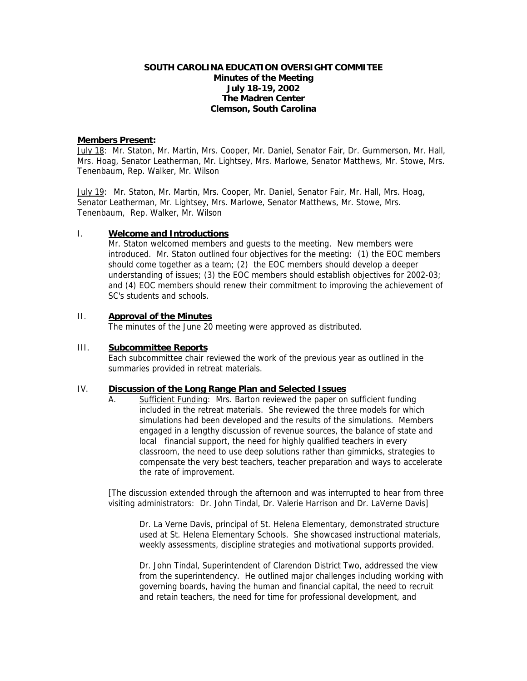#### **SOUTH CAROLINA EDUCATION OVERSIGHT COMMITEE Minutes of the Meeting July 18-19, 2002 The Madren Center Clemson, South Carolina**

#### **Members Present:**

July 18: Mr. Staton, Mr. Martin, Mrs. Cooper, Mr. Daniel, Senator Fair, Dr. Gummerson, Mr. Hall, Mrs. Hoag, Senator Leatherman, Mr. Lightsey, Mrs. Marlowe, Senator Matthews, Mr. Stowe, Mrs. Tenenbaum, Rep. Walker, Mr. Wilson

July 19: Mr. Staton, Mr. Martin, Mrs. Cooper, Mr. Daniel, Senator Fair, Mr. Hall, Mrs. Hoag, Senator Leatherman, Mr. Lightsey, Mrs. Marlowe, Senator Matthews, Mr. Stowe, Mrs. Tenenbaum, Rep. Walker, Mr. Wilson

#### I. **Welcome and Introductions**

Mr. Staton welcomed members and guests to the meeting. New members were introduced. Mr. Staton outlined four objectives for the meeting: (1) the EOC members should come together as a team; (2) the EOC members should develop a deeper understanding of issues; (3) the EOC members should establish objectives for 2002-03; and (4) EOC members should renew their commitment to improving the achievement of SC's students and schools.

### II. **Approval of the Minutes**

The minutes of the June 20 meeting were approved as distributed.

#### III. **Subcommittee Reports**

Each subcommittee chair reviewed the work of the previous year as outlined in the summaries provided in retreat materials.

#### IV. **Discussion of the Long Range Plan and Selected Issues**

A. Sufficient Funding: Mrs. Barton reviewed the paper on sufficient funding included in the retreat materials. She reviewed the three models for which simulations had been developed and the results of the simulations. Members engaged in a lengthy discussion of revenue sources, the balance of state and local financial support, the need for highly qualified teachers in every classroom, the need to use deep solutions rather than gimmicks, strategies to compensate the very best teachers, teacher preparation and ways to accelerate the rate of improvement.

[The discussion extended through the afternoon and was interrupted to hear from three visiting administrators: Dr. John Tindal, Dr. Valerie Harrison and Dr. LaVerne Davis]

Dr. La Verne Davis, principal of St. Helena Elementary, demonstrated structure used at St. Helena Elementary Schools. She showcased instructional materials, weekly assessments, discipline strategies and motivational supports provided.

Dr. John Tindal, Superintendent of Clarendon District Two, addressed the view from the superintendency. He outlined major challenges including working with governing boards, having the human and financial capital, the need to recruit and retain teachers, the need for time for professional development, and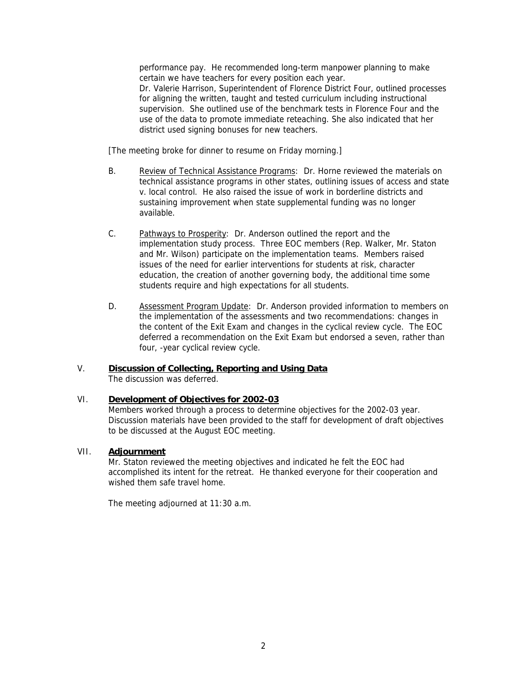performance pay. He recommended long-term manpower planning to make certain we have teachers for every position each year. Dr. Valerie Harrison, Superintendent of Florence District Four, outlined processes for aligning the written, taught and tested curriculum including instructional supervision. She outlined use of the benchmark tests in Florence Four and the use of the data to promote immediate reteaching. She also indicated that her district used signing bonuses for new teachers.

[The meeting broke for dinner to resume on Friday morning.]

- B. Review of Technical Assistance Programs: Dr. Horne reviewed the materials on technical assistance programs in other states, outlining issues of access and state v. local control. He also raised the issue of work in borderline districts and sustaining improvement when state supplemental funding was no longer available.
- C. Pathways to Prosperity: Dr. Anderson outlined the report and the implementation study process. Three EOC members (Rep. Walker, Mr. Staton and Mr. Wilson) participate on the implementation teams. Members raised issues of the need for earlier interventions for students at risk, character education, the creation of another governing body, the additional time some students require and high expectations for all students.
- D. Assessment Program Update: Dr. Anderson provided information to members on the implementation of the assessments and two recommendations: changes in the content of the Exit Exam and changes in the cyclical review cycle. The EOC deferred a recommendation on the Exit Exam but endorsed a seven, rather than four, -year cyclical review cycle.

#### V. **Discussion of Collecting, Reporting and Using Data** The discussion was deferred.

# VI. **Development of Objectives for 2002-03**

Members worked through a process to determine objectives for the 2002-03 year. Discussion materials have been provided to the staff for development of draft objectives to be discussed at the August EOC meeting.

### VII. **Adjournment**

Mr. Staton reviewed the meeting objectives and indicated he felt the EOC had accomplished its intent for the retreat. He thanked everyone for their cooperation and wished them safe travel home.

The meeting adjourned at 11:30 a.m.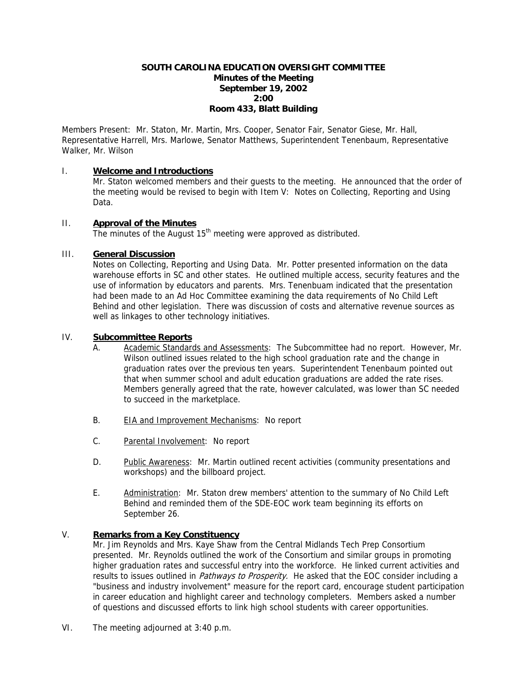## **SOUTH CAROLINA EDUCATION OVERSIGHT COMMITTEE Minutes of the Meeting September 19, 2002 2:00 Room 433, Blatt Building**

Members Present: Mr. Staton, Mr. Martin, Mrs. Cooper, Senator Fair, Senator Giese, Mr. Hall, Representative Harrell, Mrs. Marlowe, Senator Matthews, Superintendent Tenenbaum, Representative Walker, Mr. Wilson

### I. **Welcome and Introductions**

Mr. Staton welcomed members and their guests to the meeting. He announced that the order of the meeting would be revised to begin with Item V: Notes on Collecting, Reporting and Using Data.

### II. **Approval of the Minutes**

The minutes of the August  $15<sup>th</sup>$  meeting were approved as distributed.

### III. **General Discussion**

Notes on Collecting, Reporting and Using Data. Mr. Potter presented information on the data warehouse efforts in SC and other states. He outlined multiple access, security features and the use of information by educators and parents. Mrs. Tenenbuam indicated that the presentation had been made to an Ad Hoc Committee examining the data requirements of No Child Left Behind and other legislation. There was discussion of costs and alternative revenue sources as well as linkages to other technology initiatives.

### IV. **Subcommittee Reports**

- A. Academic Standards and Assessments: The Subcommittee had no report. However, Mr. Wilson outlined issues related to the high school graduation rate and the change in graduation rates over the previous ten years. Superintendent Tenenbaum pointed out that when summer school and adult education graduations are added the rate rises. Members generally agreed that the rate, however calculated, was lower than SC needed to succeed in the marketplace.
- B. EIA and Improvement Mechanisms: No report
- C. Parental Involvement: No report
- D. Public Awareness: Mr. Martin outlined recent activities (community presentations and workshops) and the billboard project.
- E. Administration: Mr. Staton drew members' attention to the summary of No Child Left Behind and reminded them of the SDE-EOC work team beginning its efforts on September 26.

# V. **Remarks from a Key Constituency**

Mr. Jim Reynolds and Mrs. Kaye Shaw from the Central Midlands Tech Prep Consortium presented. Mr. Reynolds outlined the work of the Consortium and similar groups in promoting higher graduation rates and successful entry into the workforce. He linked current activities and results to issues outlined in *Pathways to Prosperity*. He asked that the EOC consider including a "business and industry involvement" measure for the report card, encourage student participation in career education and highlight career and technology completers. Members asked a number of questions and discussed efforts to link high school students with career opportunities.

VI. The meeting adjourned at 3:40 p.m.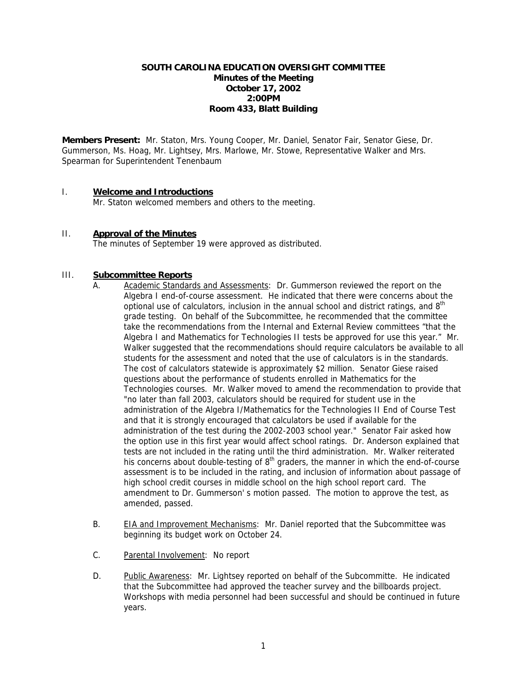#### **SOUTH CAROLINA EDUCATION OVERSIGHT COMMITTEE Minutes of the Meeting October 17, 2002 2:00PM Room 433, Blatt Building**

**Members Present:** Mr. Staton, Mrs. Young Cooper, Mr. Daniel, Senator Fair, Senator Giese, Dr. Gummerson, Ms. Hoag, Mr. Lightsey, Mrs. Marlowe, Mr. Stowe, Representative Walker and Mrs. Spearman for Superintendent Tenenbaum

### I. **Welcome and Introductions**

Mr. Staton welcomed members and others to the meeting.

#### II. **Approval of the Minutes**

The minutes of September 19 were approved as distributed.

#### III. **Subcommittee Reports**

- A. Academic Standards and Assessments: Dr. Gummerson reviewed the report on the Algebra I end-of-course assessment. He indicated that there were concerns about the optional use of calculators, inclusion in the annual school and district ratings, and  $8<sup>th</sup>$ grade testing. On behalf of the Subcommittee, he recommended that the committee take the recommendations from the Internal and External Review committees "that the Algebra I and Mathematics for Technologies II tests be approved for use this year." Mr. Walker suggested that the recommendations should require calculators be available to all students for the assessment and noted that the use of calculators is in the standards. The cost of calculators statewide is approximately \$2 million. Senator Giese raised questions about the performance of students enrolled in Mathematics for the Technologies courses. Mr. Walker moved to amend the recommendation to provide that "no later than fall 2003, calculators should be required for student use in the administration of the Algebra I/Mathematics for the Technologies II End of Course Test and that it is strongly encouraged that calculators be used if available for the administration of the test during the 2002-2003 school year." Senator Fair asked how the option use in this first year would affect school ratings. Dr. Anderson explained that tests are not included in the rating until the third administration. Mr. Walker reiterated his concerns about double-testing of  $8<sup>th</sup>$  graders, the manner in which the end-of-course assessment is to be included in the rating, and inclusion of information about passage of high school credit courses in middle school on the high school report card. The amendment to Dr. Gummerson' s motion passed. The motion to approve the test, as amended, passed.
- B. EIA and Improvement Mechanisms: Mr. Daniel reported that the Subcommittee was beginning its budget work on October 24.
- C. Parental Involvement: No report
- D. Public Awareness: Mr. Lightsey reported on behalf of the Subcommitte. He indicated that the Subcommittee had approved the teacher survey and the billboards project. Workshops with media personnel had been successful and should be continued in future years.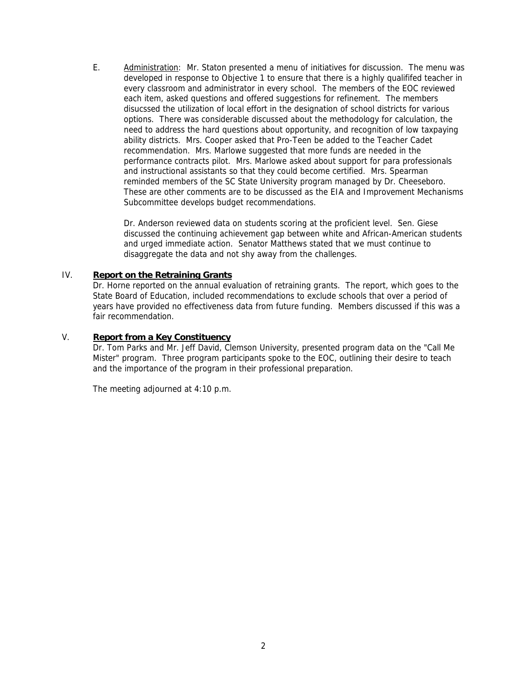E. Administration: Mr. Staton presented a menu of initiatives for discussion. The menu was developed in response to Objective 1 to ensure that there is a highly qualififed teacher in every classroom and administrator in every school. The members of the EOC reviewed each item, asked questions and offered suggestions for refinement. The members disucssed the utilization of local effort in the designation of school districts for various options. There was considerable discussed about the methodology for calculation, the need to address the hard questions about opportunity, and recognition of low taxpaying ability districts. Mrs. Cooper asked that Pro-Teen be added to the Teacher Cadet recommendation. Mrs. Marlowe suggested that more funds are needed in the performance contracts pilot. Mrs. Marlowe asked about support for para professionals and instructional assistants so that they could become certified. Mrs. Spearman reminded members of the SC State University program managed by Dr. Cheeseboro. These are other comments are to be discussed as the EIA and Improvement Mechanisms Subcommittee develops budget recommendations.

Dr. Anderson reviewed data on students scoring at the proficient level. Sen. Giese discussed the continuing achievement gap between white and African-American students and urged immediate action. Senator Matthews stated that we must continue to disaggregate the data and not shy away from the challenges.

### IV. **Report on the Retraining Grants**

Dr. Horne reported on the annual evaluation of retraining grants. The report, which goes to the State Board of Education, included recommendations to exclude schools that over a period of years have provided no effectiveness data from future funding. Members discussed if this was a fair recommendation.

### V. **Report from a Key Constituency**

Dr. Tom Parks and Mr. Jeff David, Clemson University, presented program data on the "Call Me Mister" program. Three program participants spoke to the EOC, outlining their desire to teach and the importance of the program in their professional preparation.

The meeting adjourned at 4:10 p.m.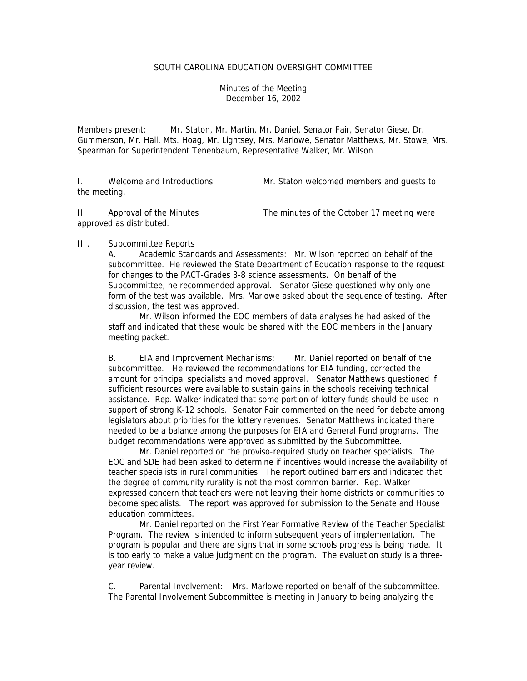#### SOUTH CAROLINA EDUCATION OVERSIGHT COMMITTEE

Minutes of the Meeting December 16, 2002

Members present: Mr. Staton, Mr. Martin, Mr. Daniel, Senator Fair, Senator Giese, Dr. Gummerson, Mr. Hall, Mts. Hoag, Mr. Lightsey, Mrs. Marlowe, Senator Matthews, Mr. Stowe, Mrs. Spearman for Superintendent Tenenbaum, Representative Walker, Mr. Wilson

I. Welcome and Introductions Mr. Staton welcomed members and guests to the meeting.

II. Approval of the Minutes The minutes of the October 17 meeting were approved as distributed.

#### III. Subcommittee Reports

A. Academic Standards and Assessments: Mr. Wilson reported on behalf of the subcommittee. He reviewed the State Department of Education response to the request for changes to the PACT-Grades 3-8 science assessments. On behalf of the Subcommittee, he recommended approval. Senator Giese questioned why only one form of the test was available. Mrs. Marlowe asked about the sequence of testing. After discussion, the test was approved.

 Mr. Wilson informed the EOC members of data analyses he had asked of the staff and indicated that these would be shared with the EOC members in the January meeting packet.

B. EIA and Improvement Mechanisms: Mr. Daniel reported on behalf of the subcommittee. He reviewed the recommendations for EIA funding, corrected the amount for principal specialists and moved approval. Senator Matthews questioned if sufficient resources were available to sustain gains in the schools receiving technical assistance. Rep. Walker indicated that some portion of lottery funds should be used in support of strong K-12 schools. Senator Fair commented on the need for debate among legislators about priorities for the lottery revenues. Senator Matthews indicated there needed to be a balance among the purposes for EIA and General Fund programs. The budget recommendations were approved as submitted by the Subcommittee.

 Mr. Daniel reported on the proviso-required study on teacher specialists. The EOC and SDE had been asked to determine if incentives would increase the availability of teacher specialists in rural communities. The report outlined barriers and indicated that the degree of community rurality is not the most common barrier. Rep. Walker expressed concern that teachers were not leaving their home districts or communities to become specialists. The report was approved for submission to the Senate and House education committees.

 Mr. Daniel reported on the First Year Formative Review of the Teacher Specialist Program. The review is intended to inform subsequent years of implementation. The program is popular and there are signs that in some schools progress is being made. It is too early to make a value judgment on the program. The evaluation study is a threeyear review.

C. Parental Involvement: Mrs. Marlowe reported on behalf of the subcommittee. The Parental Involvement Subcommittee is meeting in January to being analyzing the